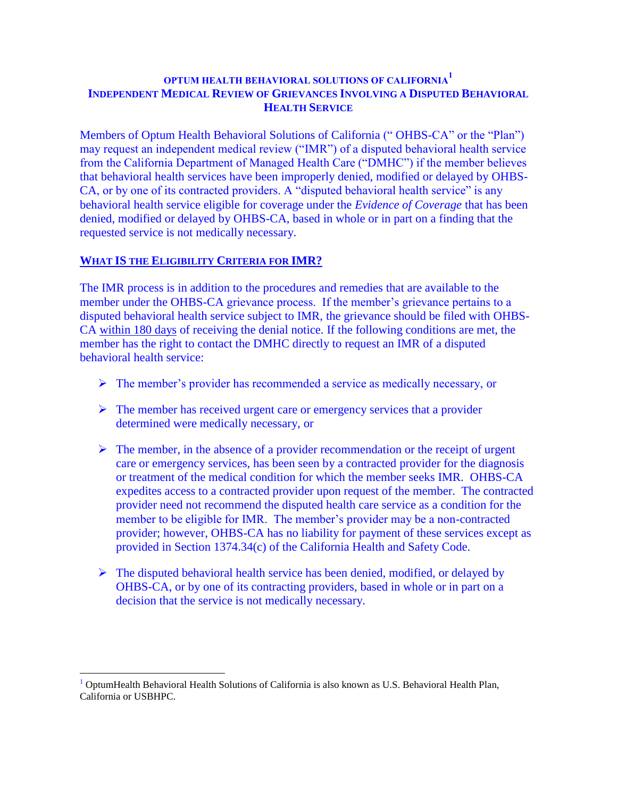## **OPTUM HEALTH BEHAVIORAL SOLUTIONS OF CALIFORNIA<sup>1</sup> INDEPENDENT MEDICAL REVIEW OF GRIEVANCES INVOLVING A DISPUTED BEHAVIORAL HEALTH SERVICE**

Members of Optum Health Behavioral Solutions of California (" OHBS-CA" or the "Plan") may request an independent medical review ("IMR") of a disputed behavioral health service from the California Department of Managed Health Care ("DMHC") if the member believes that behavioral health services have been improperly denied, modified or delayed by OHBS-CA, or by one of its contracted providers. A "disputed behavioral health service" is any behavioral health service eligible for coverage under the *Evidence of Coverage* that has been denied, modified or delayed by OHBS-CA, based in whole or in part on a finding that the requested service is not medically necessary.

# **WHAT IS THE ELIGIBILITY CRITERIA FOR IMR?**

 $\overline{a}$ 

The IMR process is in addition to the procedures and remedies that are available to the member under the OHBS-CA grievance process. If the member's grievance pertains to a disputed behavioral health service subject to IMR, the grievance should be filed with OHBS-CA within 180 days of receiving the denial notice. If the following conditions are met, the member has the right to contact the DMHC directly to request an IMR of a disputed behavioral health service:

- $\triangleright$  The member's provider has recommended a service as medically necessary, or
- $\triangleright$  The member has received urgent care or emergency services that a provider determined were medically necessary, or
- $\triangleright$  The member, in the absence of a provider recommendation or the receipt of urgent care or emergency services, has been seen by a contracted provider for the diagnosis or treatment of the medical condition for which the member seeks IMR. OHBS-CA expedites access to a contracted provider upon request of the member. The contracted provider need not recommend the disputed health care service as a condition for the member to be eligible for IMR. The member's provider may be a non-contracted provider; however, OHBS-CA has no liability for payment of these services except as provided in Section 1374.34(c) of the California Health and Safety Code.
- $\triangleright$  The disputed behavioral health service has been denied, modified, or delayed by OHBS-CA, or by one of its contracting providers, based in whole or in part on a decision that the service is not medically necessary.

<sup>1</sup> OptumHealth Behavioral Health Solutions of California is also known as U.S. Behavioral Health Plan, California or USBHPC.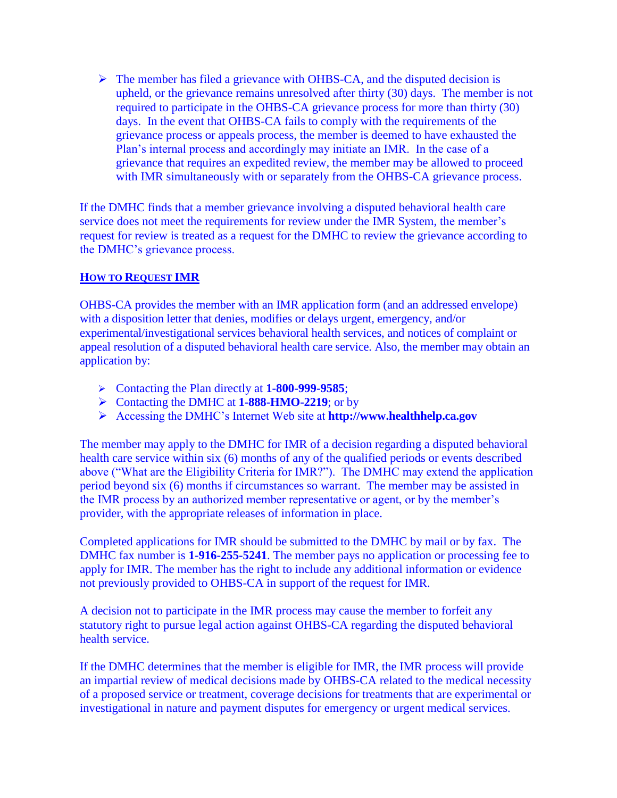$\triangleright$  The member has filed a grievance with OHBS-CA, and the disputed decision is upheld, or the grievance remains unresolved after thirty (30) days. The member is not required to participate in the OHBS-CA grievance process for more than thirty (30) days. In the event that OHBS-CA fails to comply with the requirements of the grievance process or appeals process, the member is deemed to have exhausted the Plan's internal process and accordingly may initiate an IMR. In the case of a grievance that requires an expedited review, the member may be allowed to proceed with IMR simultaneously with or separately from the OHBS-CA grievance process.

If the DMHC finds that a member grievance involving a disputed behavioral health care service does not meet the requirements for review under the IMR System, the member's request for review is treated as a request for the DMHC to review the grievance according to the DMHC's grievance process.

### **HOW TO REQUEST IMR**

OHBS-CA provides the member with an IMR application form (and an addressed envelope) with a disposition letter that denies, modifies or delays urgent, emergency, and/or experimental/investigational services behavioral health services, and notices of complaint or appeal resolution of a disputed behavioral health care service. Also, the member may obtain an application by:

- Contacting the Plan directly at **1-800-999-9585**;
- Contacting the DMHC at **1-888-HMO-2219**; or by
- Accessing the DMHC's Internet Web site at **[http://www.healthhelp.ca.gov](http://www.healthhelp.ca.gov/)**

The member may apply to the DMHC for IMR of a decision regarding a disputed behavioral health care service within six (6) months of any of the qualified periods or events described above ("What are the Eligibility Criteria for IMR?"). The DMHC may extend the application period beyond six (6) months if circumstances so warrant. The member may be assisted in the IMR process by an authorized member representative or agent, or by the member's provider, with the appropriate releases of information in place.

Completed applications for IMR should be submitted to the DMHC by mail or by fax. The DMHC fax number is **1-916-255-5241**. The member pays no application or processing fee to apply for IMR. The member has the right to include any additional information or evidence not previously provided to OHBS-CA in support of the request for IMR.

A decision not to participate in the IMR process may cause the member to forfeit any statutory right to pursue legal action against OHBS-CA regarding the disputed behavioral health service.

If the DMHC determines that the member is eligible for IMR, the IMR process will provide an impartial review of medical decisions made by OHBS-CA related to the medical necessity of a proposed service or treatment, coverage decisions for treatments that are experimental or investigational in nature and payment disputes for emergency or urgent medical services.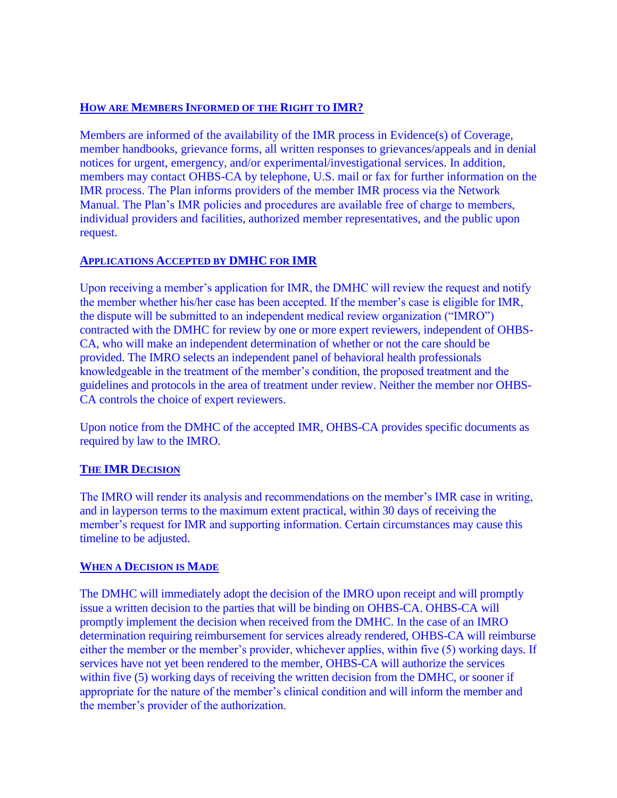## **HOW ARE MEMBERS INFORMED OF THE RIGHT TO IMR?**

Members are informed of the availability of the IMR process in Evidence(s) of Coverage, member handbooks, grievance forms, all written responses to grievances/appeals and in denial notices for urgent, emergency, and/or experimental/investigational services. In addition, members may contact OHBS-CA by telephone, U.S. mail or fax for further information on the IMR process. The Plan informs providers of the member IMR process via the Network Manual. The Plan's IMR policies and procedures are available free of charge to members, individual providers and facilities, authorized member representatives, and the public upon request.

## **APPLICATIONS ACCEPTED BY DMHC FOR IMR**

Upon receiving a member's application for IMR, the DMHC will review the request and notify the member whether his/her case has been accepted. If the member's case is eligible for IMR, the dispute will be submitted to an independent medical review organization ("IMRO") contracted with the DMHC for review by one or more expert reviewers, independent of OHBS-CA, who will make an independent determination of whether or not the care should be provided. The IMRO selects an independent panel of behavioral health professionals knowledgeable in the treatment of the member's condition, the proposed treatment and the guidelines and protocols in the area of treatment under review. Neither the member nor OHBS-CA controls the choice of expert reviewers.

Upon notice from the DMHC of the accepted IMR, OHBS-CA provides specific documents as required by law to the IMRO.

# **THE IMR DECISION**

The IMRO will render its analysis and recommendations on the member's IMR case in writing, and in layperson terms to the maximum extent practical, within 30 days of receiving the member's request for IMR and supporting information. Certain circumstances may cause this timeline to be adjusted.

### **WHEN A DECISION IS MADE**

The DMHC will immediately adopt the decision of the IMRO upon receipt and will promptly issue a written decision to the parties that will be binding on OHBS-CA. OHBS-CA will promptly implement the decision when received from the DMHC. In the case of an IMRO determination requiring reimbursement for services already rendered, OHBS-CA will reimburse either the member or the member's provider, whichever applies, within five (5) working days. If services have not yet been rendered to the member, OHBS-CA will authorize the services within five (5) working days of receiving the written decision from the DMHC, or sooner if appropriate for the nature of the member's clinical condition and will inform the member and the member's provider of the authorization.